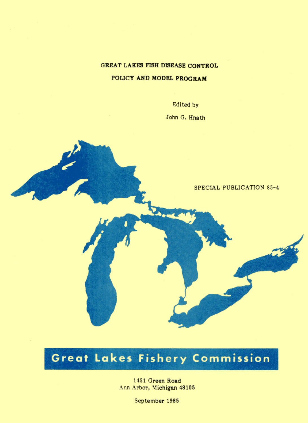## GREAT LAKES FISH DISEASE CONTROL

#### POLICY AND MODEL PROGRAM

Edited by

John G. Hnath

SPECIAL PUBLICATION 85-4

# Great Lakes Fishery Commission

1451 Green Road Ann Arbor, Michigan 48105

September 1985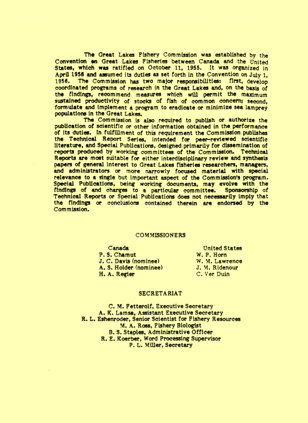The Great Lakes Fishery Commission was established by the Convention on Great Lakes Fisheries between Canada and the United States, which was ratified on October 11, 1955. It was organized in April 1956 and assumed its duties as set forth in the Convention on July 1. 1956. The Commission has two major responsibilities: first, develop coordinated programs of research in the Great Lakes and, on the basis of the findings, recommend measures which will permit the maximum sustained productivity of stocks of fish of common concern; second. formulate and implement a program to eradicate or minimize sea lamprey populations in the Great Lakes.

The Commission is also required to publish or authorize the publication of scientific or other information obtained in the performance of its duties. In fulfillment of this requirement the Commission publishes the Technical Report Series, intended for peer-reviewed scientific literature, and Special Publications, designed primarily for dissemination of reports produced by working committees of the Commission. Technical Reports are most suitable for either interdisciplinary review and synthesis papers of general interest to Great Lakes fisheries researchers, managers, and administrators or more narrowly focused material with special relevance to a single but important aspect of the Commission's program. Special Publications, being working documents, may evolve with the findings of and charges to a particular committee. Sponsorship of Technical Reports or Special Publications does not necessarily imply that the findings or conclusions contained therein are endorsed by the Commission.

#### **COMMISSIONERS**

Canada P.S. Chamut J. C. Davis (nominee) A. S. Holder (nominee) H. A. Regier

**United States** W. P. Horn W. M. Lawrence J. M. Ridenour C. Ver Duin

#### **SECRETARIAT**

C. M. Fetterolf. Executive Secretary A. K. Lamsa, Assistant Executive Secretary R. L. Eshenroder, Senior Scientist for Fishery Resources M. A. Ross, Fishery Biologist B. S. Staples, Administrative Officer R. E. Koerber, Word Processing Supervisor P. L. Miller. Secretary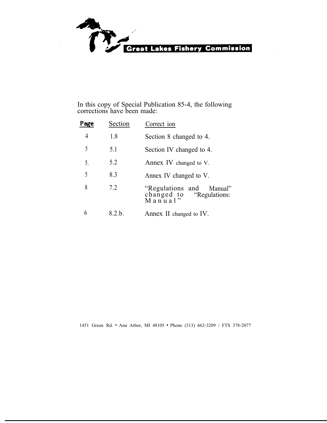

In this copy of Special Publication 85-4, the following corrections have been made:

| Page | Section | Correct ion                                                           |  |  |  |  |  |
|------|---------|-----------------------------------------------------------------------|--|--|--|--|--|
| 4    | 1.8     | Section 8 changed to 4.                                               |  |  |  |  |  |
| 5    | 5.1     | Section IV changed to 4.                                              |  |  |  |  |  |
| 5.   | 5.2     | Annex IV changed to V.                                                |  |  |  |  |  |
| 5    | 8.3     | Annex IV changed to V.                                                |  |  |  |  |  |
| 8    | 7.2     | "Regulations and Manual"<br>changed to "Regulations:<br>M a n u a l " |  |  |  |  |  |
| 6    | 8.2.b.  | Annex II changed to IV.                                               |  |  |  |  |  |

1451 Green Rd. \* Ann Arbor, MI 48105 \* Phone (313) 662-3209 / FTS 378-2077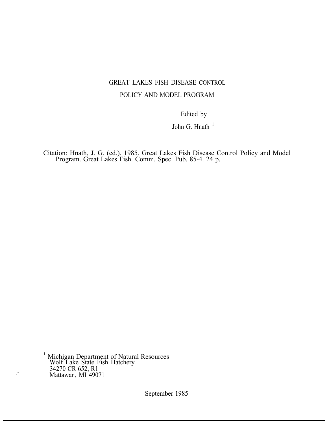# GREAT LAKES FISH DISEASE CONTROL POLICY AND MODEL PROGRAM

Edited by

John G. Hnath $1$ 

Citation: Hnath, J. G. (ed.). 1985. Great Lakes Fish Disease Control Policy and Model Program. Great Lakes Fish. Comm. Spec. Pub. 85-4. 24 p.

<sup>1</sup> Michigan Department of Natural Resources Wolf Lake State Fish Hatchery 34270 CR 652, R1 Mattawan, MI<sup>3</sup>49071

September 1985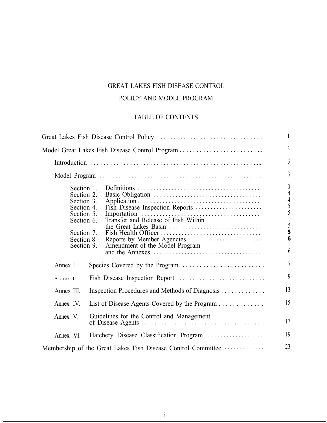# GREAT LAKES FISH DISEASE CONTROL

# POLICY AND MODEL PROGRAM

# TABLE OF CONTENTS

|                                                                                                                           |                                                                                                                          | 1                                                                                                                        |
|---------------------------------------------------------------------------------------------------------------------------|--------------------------------------------------------------------------------------------------------------------------|--------------------------------------------------------------------------------------------------------------------------|
|                                                                                                                           |                                                                                                                          | $\overline{3}$                                                                                                           |
|                                                                                                                           |                                                                                                                          | $\overline{3}$                                                                                                           |
|                                                                                                                           |                                                                                                                          | $\overline{3}$                                                                                                           |
| Section 1.<br>Section 2.<br>Section 3.<br>Section 4.<br>Section 5.<br>Section 6.<br>Section 7.<br>Section 8<br>Section 9. | Fish Disease Inspection Reports<br>the Great Lakes Basin<br>Reports by Member Agencies<br>Amendment of the Model Program | $\mathfrak{Z}$<br>$\overline{4}$<br>$\begin{array}{c} 4 \\ 5 \\ 5 \end{array}$<br>5<br>$\overline{\mathbf{5}}$<br>6<br>6 |
| Annex I.                                                                                                                  |                                                                                                                          | $\overline{\mathcal{L}}$                                                                                                 |
| Annex II.                                                                                                                 |                                                                                                                          | $\boldsymbol{9}$                                                                                                         |
| Annex III.                                                                                                                | Inspection Procedures and Methods of Diagnosis                                                                           | 13                                                                                                                       |
| List of Disease Agents Covered by the Program<br>Annex IV.                                                                |                                                                                                                          | 15                                                                                                                       |
| Annex V.                                                                                                                  | Guidelines for the Control and Management                                                                                | 17                                                                                                                       |
| Annex VI.                                                                                                                 | Hatchery Disease Classification Program                                                                                  | 19                                                                                                                       |
|                                                                                                                           | Membership of the Great Lakes Fish Disease Control Committee                                                             | 23                                                                                                                       |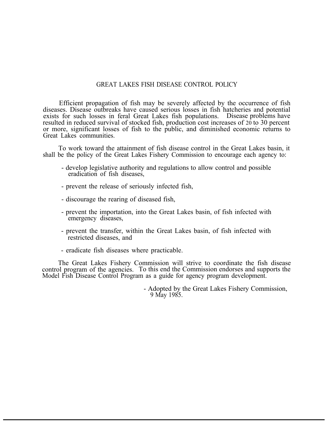#### GREAT LAKES FISH DISEASE CONTROL POLICY

Efficient propagation of fish may be severely affected by the occurrence of fish diseases. Disease outbreaks have caused serious losses in fish hatcheries and potential exists for such losses in feral Great Lakes fish populations. Disease problems have exists for such losses in feral Great Lakes fish populations. resulted in reduced survival of stocked fish, production cost increases of 20 to 30 percent or more, significant losses of fish to the public, and diminished economic returns to Great Lakes communities.

To work toward the attainment of fish disease control in the Great Lakes basin, it shall be the policy of the Great Lakes Fishery Commission to encourage each agency to:

- develop legislative authority and regulations to allow control and possible eradication of fish diseases,
- prevent the release of seriously infected fish,
- discourage the rearing of diseased fish,
- prevent the importation, into the Great Lakes basin, of fish infected with emergency diseases,
- prevent the transfer, within the Great Lakes basin, of fish infected with restricted diseases, and
- eradicate fish diseases where practicable.

The Great Lakes Fishery Commission will strive to coordinate the fish disease control program of the agencies. To this end the Commission endorses and supports the Model Fish Disease Control Program as a guide for agency program development.

> - Adopted by the Great Lakes Fishery Commission, 9 May 1985.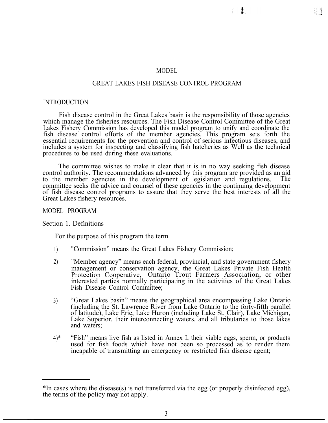#### MODEL

#### GREAT LAKES FISH DISEASE CONTROL PROGRAM

#### INTRODUCTION

Fish disease control in the Great Lakes basin is the responsibility of those agencies which manage the fisheries resources. The Fish Disease Control Committee of the Great Lakes Fishery Commission has developed this model program to unify and coordinate the fish disease control efforts of the member agencies. This program sets forth the essential requirements for the prevention and control of serious infectious diseases, and includes a system for inspecting and classifying fish hatcheries as Well as the technical procedures to be used during these evaluations.

The committee wishes to make it clear that it is in no way seeking fish disease control authority. The recommendations advanced by this program are provided as an aid to the member agencies in the development of legislation and regulations. The committee seeks the advice and counsel of these agencies in the continuing development of fish disease control programs to assure that they serve the best interests of all the Great Lakes fishery resources.

MODEL PROGRAM

Section 1. Definitions

For the purpose of this program the term

- 1) "Commission" means the Great Lakes Fishery Commission;
- 2) "Member agency" means each federal, provincial, and state government fishery management or conservation agency, the Great Lakes Private Fish Health Protection Cooperative, Ontario Trout Farmers Association, or other interested parties normally participating in the activities of the Great Lakes Fish Disease Control Committee;
- 3) "Great Lakes basin" means the geographical area encompassing Lake Ontario (including the St. Lawrence River from Lake Ontario to the forty-fifth parallel of latitude), Lake Erie, Lake Huron (including Lake St. Clair), Lake Michigan, Lake Superior, their interconnecting waters, and all tributaries to those lakes and waters;
- 4)\* "Fish" means live fish as listed in Annex I, their viable eggs, sperm, or products used for fish foods which have not been so processed as to render them incapable of transmitting an emergency or restricted fish disease agent;

<sup>\*</sup>In cases where the disease(s) is not transferred via the egg (or properly disinfected egg), the terms of the policy may not apply.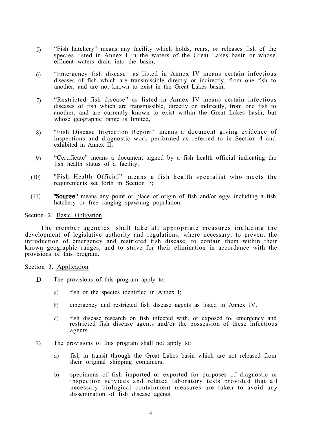- 5) "Fish hatchery" means any facility which holds, rears, or releases fish of the species listed in Annex I in the waters of the Great Lakes basin or whose effluent waters drain into the basin;
- 6) "Emergency fish disease" as listed in Annex IV means certain infectious diseases of fish which are transmissible directly or indirectly, from one fish to another, and are not known to exist in the Great Lakes basin;
- 7) "Restricted fish disease" as listed in Annex IV means certain infectious diseases of fish which are transmissible, directly or indirectly, from one fish to another, and are currently known to exist within the Great Lakes basin, but whose geographic range is limited,
- 8) "Fish Disease Inspection Report" means a document giving evidence of inspections and diagnostic work performed as referred to in Section 4 and exhibited in Annex II;
- 9) "Certificate" means a document signed by a fish health official indicating the fish health status of a facility;
- (10) "Fish Health Official" means a fish health specialist who meets the requirements set forth in Section 7;
- (11) **"Source"** means any point or place of origin of fish and/or eggs including a fish hatchery or free ranging spawning population.

#### Section 2. Basic Obligation

The member agencies shall take all appropriate measures including the development of legislative authority and regulations, where necessary, to prevent the introduction of emergency and restricted fish disease, to contain them within their known geographic ranges, and to strive for their elimination in accordance with the provisions of this program.

Section 3. Application

- $1)$ The provisions of this program apply to:
	- a) fish of the species identified in Annex I;
	- b) emergency and restricted fish disease agents as listed in Annex IV,
	- c) fish disease research on fish infected with, or exposed to, emergency and restricted fish disease agents and/or the possession of these infectious agents.
- 2) The provisions of this program shall not apply to:
	- a) fish in transit through the Great Lakes basin which are not released from their original shipping containers;
	- b) specimens of fish imported or exported for purposes of diagnostic or inspection services and related laboratory tests provided that all necessary biological containment measures are taken to avoid any dissemination of fish disease agents.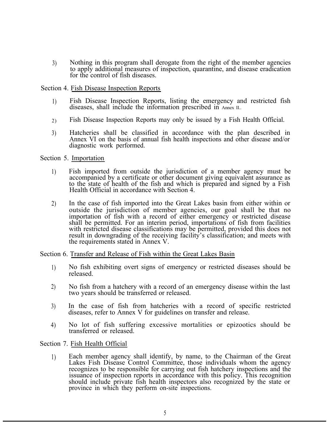3) Nothing in this program shall derogate from the right of the member agencies to apply additional measures of inspection, quarantine, and disease eradication for the control of fish diseases.

#### Section 4. Fish Disease Inspection Reports

- 1) Fish Disease Inspection Reports, listing the emergency and restricted fish diseases, shall include the information prescribed in Annex II..
- 2) Fish Disease Inspection Reports may only be issued by a Fish Health Official.
- 3) Hatcheries shall be classified in accordance with the plan described in Annex VI on the basis of annual fish health inspections and other disease and/or diagnostic work performed.

Section 5. Importation

- 1) Fish imported from outside the jurisdiction of a member agency must be accompanied by a certificate or other document giving equivalent assurance as to the state of health of the fish and which is prepared and signed by a Fish Health Official in accordance with Section 4.
- 2) In the case of fish imported into the Great Lakes basin from either within or outside the jurisdiction of member agencies, our goal shall be that no importation of fish with a record of either emergency or restricted disease shall be permitted. For an interim period, importations of fish from facilities with restricted disease classifications may be permitted, provided this does not result in downgrading of the receiving facility's classification; and meets with the requirements stated in Annex V.

#### Section 6. Transfer and Release of Fish within the Great Lakes Basin

- 1) No fish exhibiting overt signs of emergency or restricted diseases should be released.
- 2) No fish from a hatchery with a record of an emergency disease within the last two years should be transferred or released.
- 3) In the case of fish from hatcheries with a record of specific restricted diseases, refer to Annex V for guidelines on transfer and release.
- 4) No lot of fish suffering excessive mortalities or epizootics should be transferred or released.

Section 7. Fish Health Official

1) Each member agency shall identify, by name, to the Chairman of the Great Lakes Fish Disease Control Committee, those individuals whom the agency recognizes to be responsible for carrying out fish hatchery inspections and the issuance of inspection reports in accordance with this policy. This recognition should include private fish health inspectors also recognized by the state or province in which they perform on-site inspections.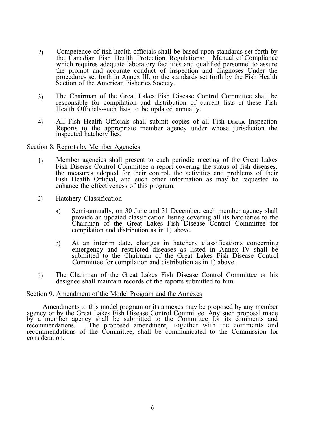- 2) Competence of fish health officials shall be based upon standards set forth by the Canadian Fish Health Protection Regulations: Manual of Compliance the Canadian Fish Health Protection Regulations: which requires adequate laboratory facilities and qualified personnel to assure the prompt and accurate conduct of inspection and diagnoses Under the procedures set forth in Annex III, or the standards set forth by the Fish Health Section of the American Fisheries Society.
- 3) The Chairman of the Great Lakes Fish Disease Control Committee shall be responsible for compilation and distribution of current lists of these Fish Health Officials-such lists to be updated annually.
- 4) All Fish Health Officials shall submit copies of all Fish Disease Inspection Reports to the appropriate member agency under whose jurisdiction the inspected hatchery lies.

Section 8. Reports by Member Agencies

- 1) Member agencies shall present to each periodic meeting of the Great Lakes Fish Disease Control Committee a report covering the status of fish diseases, the measures adopted for their control, the activities and problems of their Fish Health Official, and such other information as may be requested to enhance the effectiveness of this program.
- 2) Hatchery Classification
	- a) Semi-annually, on 30 June and 31 December, each member agency shall provide an updated classification listing covering all its hatcheries to the Chairman of the Great Lakes Fish Disease Control Committee for compilation and distribution as in 1) above.
	- b) At an interim date, changes in hatchery classifications concerning emergency and restricted diseases as listed in Annex IV shall be submitted to the Chairman of the Great Lakes Fish Disease Control Committee for compilation and distribution as in 1) above.
- 3) The Chairman of the Great Lakes Fish Disease Control Committee or his designee shall maintain records of the reports submitted to him.

#### Section 9. Amendment of the Model Program and the Annexes

Amendments to this model program or its annexes may be proposed by any member agency or by the Great Lakes Fish Disease Control Committee. Any such proposal made by a member agency shall be submitted to the Committee for its comments and recommendations. The proposed amendment, together with the comments and recommendations of the Committee, shall be communicated to the Commission for consideration.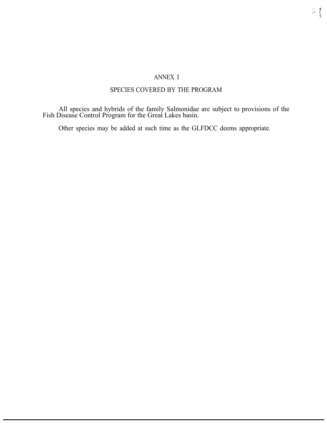## ANNEX I

## SPECIES COVERED BY THE PROGRAM

All species and hybrids of the family Salmonidae are subject to provisions of the Fish Disease Control Program for the Great Lakes basin.

Other species may be added at such time as the GLFDCC deems appropriate.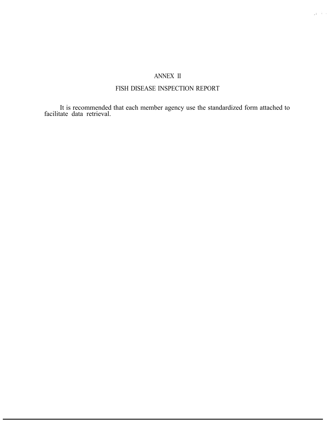# ANNEX II

# FISH DISEASE INSPECTION REPORT

It is recommended that each member agency use the standardized form attached to facilitate data retrieval.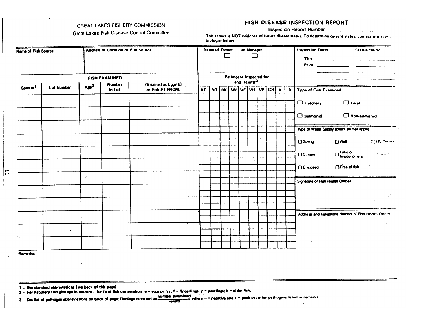#### **GREAT LAKES FISHERY COMMISSION**

#### FISH DISEASE INSPECTION REPORT

**Great Lakes Fish Disease Control Committee** 

#### Inspection Report Number ....

This report is NOT evidence of future disease status. To determine current status, contact inspecting biologist below.

| <b>Name of Fish Source</b> |            |                  | <b>Address or Location of Fish Source</b>                          |                         |                                                               |  | Name of Owner<br>or Manager<br>□<br>$\Box$ |  |          |  |  |   |                              |  | <b>Inspection Dates</b><br><b>Classification</b><br>This $\qquad$ |
|----------------------------|------------|------------------|--------------------------------------------------------------------|-------------------------|---------------------------------------------------------------|--|--------------------------------------------|--|----------|--|--|---|------------------------------|--|-------------------------------------------------------------------|
|                            |            |                  |                                                                    |                         |                                                               |  |                                            |  |          |  |  |   |                              |  |                                                                   |
| <b>FISH EXAMINED</b>       |            |                  |                                                                    | Pathogens Inspected for |                                                               |  |                                            |  |          |  |  |   |                              |  |                                                                   |
| Species <sup>1</sup>       | Lot Number | Age <sup>2</sup> | Obtained as Eggs(E)<br><b>Number</b><br>or Fish(F) FROM:<br>in Lot |                         | and Results <sup>3</sup><br>BK SW VE VH VP<br>BR<br><b>BF</b> |  |                                            |  | cs <br>A |  |  | В | <b>Type of Fish Examined</b> |  |                                                                   |
|                            |            |                  |                                                                    |                         |                                                               |  |                                            |  |          |  |  |   |                              |  |                                                                   |
|                            |            |                  |                                                                    |                         |                                                               |  |                                            |  |          |  |  |   |                              |  | $\Box$ Feral<br>$\Box$ Hatchery                                   |
|                            |            |                  |                                                                    |                         |                                                               |  |                                            |  |          |  |  |   |                              |  | $\Box$ Salmonid<br>Non-salmonid                                   |
|                            |            |                  |                                                                    |                         |                                                               |  |                                            |  |          |  |  |   |                              |  |                                                                   |
|                            |            |                  |                                                                    |                         |                                                               |  |                                            |  |          |  |  |   |                              |  | Type of Water Supply (check all that apply)                       |
|                            |            |                  |                                                                    |                         |                                                               |  |                                            |  |          |  |  |   |                              |  |                                                                   |
|                            |            |                  |                                                                    |                         |                                                               |  |                                            |  |          |  |  |   |                              |  | $\Box$ Well<br><b>COV</b> Treated<br>$\Box$ Spring                |
|                            |            |                  |                                                                    |                         |                                                               |  |                                            |  |          |  |  |   |                              |  | □ Lake or<br>□ impoundment<br>[] Stream<br>$\Gamma$ -term is      |
|                            |            |                  |                                                                    |                         |                                                               |  |                                            |  |          |  |  |   |                              |  |                                                                   |
|                            |            |                  |                                                                    |                         |                                                               |  |                                            |  |          |  |  |   |                              |  | □ Free of fish<br><b>Enclosed</b>                                 |
|                            |            | $\bullet$        |                                                                    |                         |                                                               |  |                                            |  |          |  |  |   |                              |  | Signature of Fish Health Official                                 |
|                            |            |                  |                                                                    |                         |                                                               |  |                                            |  |          |  |  |   |                              |  |                                                                   |
|                            |            |                  |                                                                    |                         |                                                               |  |                                            |  |          |  |  |   |                              |  |                                                                   |
|                            |            |                  |                                                                    |                         |                                                               |  |                                            |  |          |  |  |   |                              |  |                                                                   |
|                            |            |                  |                                                                    |                         |                                                               |  |                                            |  |          |  |  |   |                              |  |                                                                   |
|                            |            |                  |                                                                    |                         |                                                               |  |                                            |  |          |  |  |   |                              |  | Address and Telephone Number of Fish Health Officer               |
|                            |            |                  |                                                                    |                         |                                                               |  |                                            |  |          |  |  |   |                              |  |                                                                   |
|                            |            |                  |                                                                    |                         |                                                               |  |                                            |  |          |  |  |   |                              |  |                                                                   |
|                            |            |                  |                                                                    |                         |                                                               |  |                                            |  |          |  |  |   |                              |  |                                                                   |
|                            |            |                  |                                                                    |                         |                                                               |  |                                            |  |          |  |  |   |                              |  |                                                                   |
| Remarks:                   |            |                  |                                                                    |                         |                                                               |  |                                            |  |          |  |  |   |                              |  |                                                                   |
|                            |            |                  |                                                                    |                         |                                                               |  |                                            |  |          |  |  |   |                              |  |                                                                   |
|                            |            |                  |                                                                    |                         |                                                               |  |                                            |  |          |  |  |   |                              |  |                                                                   |
|                            |            |                  |                                                                    |                         |                                                               |  |                                            |  |          |  |  |   |                              |  |                                                                   |

1 - Use standard abbrevietions (see back of this page).

 $\mathbf{I}$ 

2- For hatchery fish give age in months: for feral fish use symbols e = eggs or fry; f = fingerlings; y = yearlings; b = older fish.

number examined where - - negative and + - positive; other pathogens listed in remarks. 3-See list of pethogen abbreviations on back of page; findings reported as **results**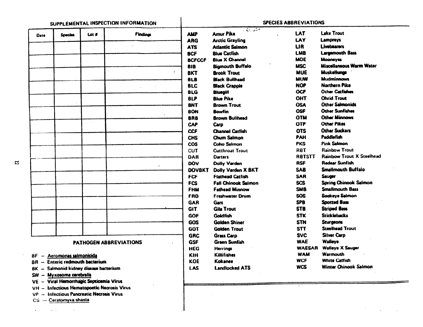|                     |                                   |                                        |                 |                          | $-32.455$<br><b>Amur Pike</b>  | LAT           | <b>Lake Trout</b>                |
|---------------------|-----------------------------------|----------------------------------------|-----------------|--------------------------|--------------------------------|---------------|----------------------------------|
| Date                | <b>Species</b>                    | Lot #                                  | <b>Findings</b> | <b>AMP</b><br><b>ARG</b> | <b>Arctic Grayling</b>         | LAY           | Lampreys                         |
|                     |                                   |                                        |                 | <b>ATS</b>               | <b>Atlantic Salmon</b>         | LIR.          | <b>Livebearers</b>               |
|                     |                                   |                                        |                 | <b>BCF</b>               | <b>Blue Catfish</b>            | <b>LMB</b>    | <b>Largemouth Bass</b>           |
|                     |                                   |                                        |                 | <b>BCFCCF</b>            | <b>Blue X Channel</b>          | <b>MOE</b>    | <b>Mooneyes</b>                  |
|                     |                                   |                                        |                 |                          | <b>Bigmouth Buffalo</b>        | <b>MSC</b>    | Miscellaneous Warm Water         |
|                     |                                   |                                        |                 | 81 B<br><b>BKT</b>       | <b>Brook Trout</b>             | <b>MUE</b>    | Muskellunga                      |
|                     |                                   |                                        |                 | <b>BLB</b>               | <b>Black Builhead</b>          | <b>MUW</b>    | <b>Mudminnows</b>                |
|                     |                                   |                                        |                 | <b>BLC</b>               | <b>Black Crappie</b>           | <b>NOP</b>    | <b>Northern Pike</b>             |
|                     |                                   |                                        |                 | <b>BLG</b>               | <b>Bluegill</b>                | <b>OCF</b>    | <b>Other Catfishes</b>           |
|                     |                                   |                                        |                 | <b>BLP</b>               | <b>Blue Pike</b>               | OHT           | <b>Ohrid Trout</b>               |
|                     |                                   |                                        |                 | <b>BNT</b>               | <b>Brown Trout</b>             | <b>OSA</b>    | <b>Other Salmonids</b>           |
|                     |                                   |                                        |                 | <b>BON</b>               | <b>Bowfin</b>                  | <b>OSF</b>    | <b>Other Sunfishes</b>           |
|                     |                                   |                                        |                 |                          | <b>Brown Builhead</b>          | <b>OTM</b>    | <b>Other Minnows</b>             |
|                     |                                   |                                        |                 | <b>BRB</b><br><b>CAP</b> |                                | <b>OTP</b>    | <b>Other Pikes</b>               |
|                     |                                   |                                        |                 | <b>CCF</b>               | Carp<br><b>Channel Catfish</b> | <b>OTS</b>    | <b>Other Suckers</b>             |
|                     |                                   |                                        |                 |                          | Chum Salmon                    | PAH           | Paddlefish                       |
|                     |                                   |                                        |                 | <b>CHS</b>               |                                | <b>PKS</b>    | <b>Pink Salmon</b>               |
|                     |                                   |                                        |                 | <b>COS</b>               | <b>Coho Salmon</b>             |               | Rainbow Trout                    |
|                     |                                   |                                        |                 | <b>CUT</b>               | <b>Cutthroat Trout</b>         | <b>RBT</b>    | <b>Rainbow Trout X Steelhead</b> |
|                     |                                   |                                        |                 | DAR                      | <b>Darters</b>                 | <b>RBTSTT</b> | <b>Redear Sunfish</b>            |
|                     |                                   |                                        |                 | DOV                      | <b>Dolly Varden</b>            | <b>RSF</b>    |                                  |
|                     |                                   |                                        |                 | <b>DOVBKT</b>            | Dolly Varden X BKT             | <b>SAB</b>    | <b>Smallmouth Buffalo</b>        |
|                     |                                   |                                        |                 | <b>FCF</b>               | <b>Flathead Catfish</b>        | <b>SAR</b>    | Sauger                           |
|                     |                                   |                                        |                 | <b>FCS</b>               | <b>Fall Chinook Salmon</b>     | <b>SCS</b>    | <b>Spring Chinook Salmon</b>     |
|                     |                                   |                                        |                 | <b>FHM</b>               | <b>Fathead Minnow</b>          | <b>SMB</b>    | <b>Smallmouth Bass</b>           |
|                     |                                   |                                        |                 | <b>FRD</b>               | <b>Freshwater Drum</b>         | <b>SOS</b>    | Sockeye Salmon                   |
|                     |                                   |                                        |                 | <b>GAR</b>               | Gars                           | <b>SPB</b>    | <b>Spotted Bass</b>              |
|                     |                                   |                                        |                 | <b>GIT</b>               | <b>Gila Trout</b>              | <b>STB</b>    | <b>Striped Bass</b>              |
|                     |                                   |                                        |                 | GOF                      | <b>Goldfish</b>                | <b>STK</b>    | <b>Sticklebacks</b>              |
|                     |                                   |                                        |                 | <b>GOS</b>               | <b>Golden Shiner</b>           | <b>STN</b>    | <b>Sturgeons</b>                 |
|                     |                                   |                                        |                 | <b>GOT</b>               | <b>Golden Trout</b>            | <b>STT</b>    | <b>Steelhead Trout</b>           |
|                     |                                   |                                        |                 | <b>GRC</b>               | <b>Grass Carp</b>              | <b>SVC</b>    | <b>Silver Carp</b>               |
|                     |                                   | PATHOGEN ABBREVIATIONS                 |                 | <b>GSF</b>               | <b>Green Sunfish</b>           | <b>WAE</b>    | Walleye                          |
|                     |                                   |                                        |                 | <b>HEG</b>               | Herrings                       | <b>WAESAR</b> | <b>Walleye X Sauger</b>          |
| 8F.<br>$-$          | Aeromonas salmonicida             |                                        |                 | KIH                      | Killifishes                    | <b>WAM</b>    | <b>Warmouth</b>                  |
| 8R<br>$\frac{1}{2}$ | <b>Enteric redmouth bacterium</b> |                                        |                 | <b>KOE</b>               | Kokanee                        | <b>WCF</b>    | <b>White Catfish</b>             |
|                     |                                   | BK - Salmonid kidney disease bacterium |                 | LAS                      | <b>Landlocked ATS</b>          | WCS           | Winter Chinook Salmon            |
|                     | SW - Myxosoma cerebralis          |                                        |                 |                          |                                |               |                                  |

 $\label{eq:2} \frac{1}{2} \sum_{i=1}^n \frac{1}{2} \sum_{i=1}^n \frac{1}{2} \sum_{i=1}^n \frac{1}{2} \sum_{i=1}^n \frac{1}{2} \sum_{i=1}^n \frac{1}{2} \sum_{i=1}^n \frac{1}{2} \sum_{i=1}^n \frac{1}{2} \sum_{i=1}^n \frac{1}{2} \sum_{i=1}^n \frac{1}{2} \sum_{i=1}^n \frac{1}{2} \sum_{i=1}^n \frac{1}{2} \sum_{i=1}^n \frac{1}{2} \sum_{i=1}^n \frac{1}{$ 

VP - Infectious Pancreatic Necrosis Virus

CS - Ceratomyxa shasta

 $\langle \bullet \rangle$  , and  $\langle \bullet \rangle$  are  $\langle \bullet \rangle$  , and  $\langle \bullet \rangle$  , and  $\langle \bullet \rangle$ 

 $\overline{\mathbf{r}}$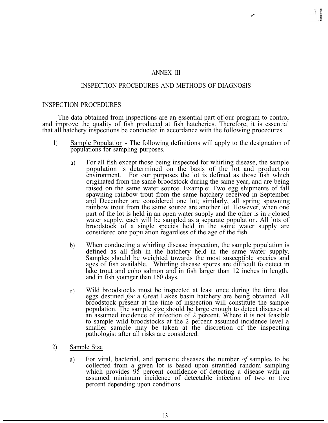#### ANNEX III

#### INSPECTION PROCEDURES AND METHODS OF DIAGNOSIS

#### INSPECTION PROCEDURES

The data obtained from inspections are an essential part of our program to control and improve the quality of fish produced at fish hatcheries. Therefore, it is essential that all hatchery inspections be conducted in accordance with the following procedures.

- 1) Sample Population The following definitions will apply to the designation of populations for sampling purposes.
	- a) For all fish except those being inspected for whirling disease, the sample population is determined on the basis of the lot and production environment. For our purposes the lot is defined as those fish which originated from the same broodstock during the same year, and are being raised on the same water source. Example: Two egg shipments of fall spawning rainbow trout from the same hatchery received in September and December are considered one lot; similarly, all spring spawning rainbow trout from the same source are another lot. However, when one part of the lot is held in an open water supply and the other is in *a* closed water supply, each will be sampled as a separate population. All lots of broodstock of a single species held in the same water supply are considered one population regardless of the age of the fish.
	- b) When conducting a whirling disease inspection, the sample population is defined as all fish in the hatchery held in the same water supply. Samples should be weighted towards the most susceptible species and ages of fish available. Whirling disease spores are difficult to detect in lake trout and coho salmon and in fish larger than 12 inches in length, and in fish younger than 160 days.
	- c) Wild broodstocks must be inspected at least once during the time that eggs destined *for* a Great Lakes basin hatchery are being obtained. All broodstock present at the time of inspection will constitute the sample population. The sample size should be large enough to detect diseases at an assumed incidence of infection of 2 percent. Where it is not feasible to sample wild broodstocks at the 2 percent assumed incidence level a smaller sample may be taken at the discretion of the inspecting pathologist after all risks are considered.
- 2) Sample Size
	- a) For viral, bacterial, and parasitic diseases the number *of* samples to be collected from a given lot is based upon stratified random sampling which provides 95 percent confidence of detecting a disease with an assumed minimum incidence of detectable infection of two or five percent depending upon conditions.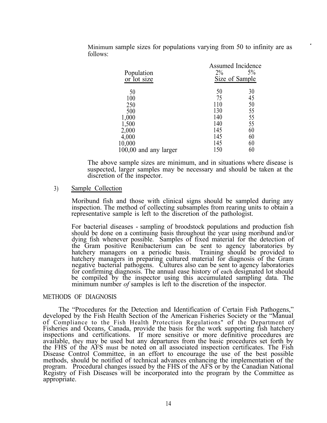| Population<br>or lot size | <b>Assumed Incidence</b><br>$2\%$<br>Size of Sample | 5% |
|---------------------------|-----------------------------------------------------|----|
| 50                        | 50                                                  | 30 |
| 100                       | 75                                                  | 45 |
| 250                       | 110                                                 | 50 |
| 500                       | 130                                                 | 55 |
| 1,000                     | 140                                                 | 55 |
| 1,500                     | 140                                                 | 55 |
| 2,000                     | 145                                                 | 60 |
| 4,000                     | 145                                                 | 60 |
| 10,000                    | 145                                                 | 60 |
| 100,00 and any larger     | 150                                                 | 60 |

Minimum sample sizes for populations varying from 50 to infinity are as follows:

The above sample sizes are minimum, and in situations where disease is suspected, larger samples may be necessary and should be taken at the discretion of the inspector.

## 3) Sample Collection

Moribund fish and those with clinical signs should be sampled during any inspection. The method of collecting subsamples from rearing units to obtain a representative sample is left to the discretion of the pathologist.

For bacterial diseases - sampling of broodstock populations and production fish should be done on a continuing basis throughout the year using moribund and/or dying fish whenever possible. Samples of fixed material for the detection of the Gram positive Renibacterium can be sent to agency laboratories by hatchery managers on a periodic basis. Training should be provided to hatchery managers in preparing cultured material for diagnosis of the Gram negative bacterial pathogens. Cultures also can be sent to agency laboratories for confirming diagnosis. The annual ease history of each designated lot should be compiled by the inspector using this accumulated sampling data. The minimum number *of* samples is left to the discretion of the inspector.

#### METHODS OF DIAGNOSIS

The "Procedures for the Detection and Identification of Certain Fish Pathogens," developed by the Fish Health Section of the American Fisheries Society or the "Manual of Compliance to the Fish Health Protection Regulations" of the Department of Fisheries and Oceans, Canada, provide the basis for the work supporting fish hatchery inspections and certifications. If more sensitive or more definitive procedures are available, they may be used but any departures from the basic procedures set forth by the FHS of the AFS must be noted on all associated inspection certificates. The Fish Disease Control Committee, in an effort to encourage the use of the best possible methods, should be notified of technical advances enhancing the implementation of the program. Procedural changes issued by the FHS of the AFS or by the Canadian National Registry of Fish Diseases will be incorporated into the program by the Committee as appropriate.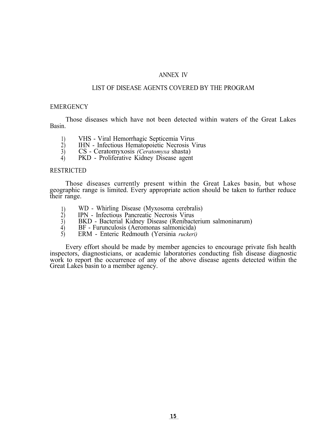#### ANNEX IV

#### LIST OF DISEASE AGENTS COVERED BY THE PROGRAM

#### **EMERGENCY**

Those diseases which have not been detected within waters of the Great Lakes Basin.

- 1) VHS Viral Hemorrhagic Septicemia Virus<br>2) IHN Infectious Hematopoietic Necrosis V
- 2) IHN Infectious Hematopoietic Necrosis Virus<br>3) CS Ceratomyxosis (Ceratomyxa shasta)
- 3) CS Ceratomyxosis *(Ceratomyxa* shasta)

4) PKD - Proliferative Kidney Disease agent

#### **RESTRICTED**

Those diseases currently present within the Great Lakes basin, but whose geographic range is limited. Every appropriate action should be taken to further reduce their range.

- 1) WD Whirling Disease (Myxosoma cerebralis)<br>2) IPN Infectious Pancreatic Necrosis Virus
- $\begin{array}{ll}\n\text{2)} & \text{IPN} \\
\text{2)} & \text{BKD} \\
\text{3)} & \text{BKD} \\
\text{3)} & \text{Bacterial Kidney Disease (Renibact)}\n\end{array}$
- 3) BKD Bacterial Kidney Disease (Renibacterium salmoninarum)
- 4) BF Furunculosis (Aeromonas salmonicida)
- 5) ERM Enteric Redmouth (Yersinia *ruckeri)*

Every effort should be made by member agencies to encourage private fish health inspectors, diagnosticians, or academic laboratories conducting fish disease diagnostic work to report the occurrence of any of the above disease agents detected within the Great Lakes basin to a member agency.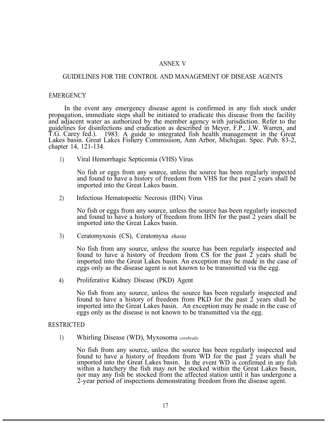#### ANNEX V

## GUIDELINES FOR THE CONTROL AND MANAGEMENT OF DISEASE AGENTS

#### EMERGENCY

In the event any emergency disease agent is confirmed in any fish stock under propagation, immediate steps shall be initiated to eradicate this disease from the facility and adjacent water as authorized by the member agency with jurisdiction. Refer to the guidelines for disinfections and eradication as described in Meyer, F.P., J.W. Warren, and T.G. Carey fed.). 1983. A guide to integrated fish health management in the Great Lakes basin. Great Lakes Fishery Commission, Ann Arbor, Michigan. Spec. Pub. 83-2, chapter 14, 121-134.

1) Viral Hemorrhagic Septicemia (VHS) Virus

> No fish or eggs from any source, unless the source has been regularly inspected and found to have a history of freedom from VHS for the past 2 years shall be imported into the Great Lakes basin.

2) Infectious Hematopoetic Necrosis (IHN) Virus

> No fish or eggs from any source, unless the source has been regularly inspected and found to have a history of freedom from IHN for the past 2 years shall be imported into the Great Lakes basin.

3) Ceratomyxosis (CS), Ceratomyxa *shasta*

> No fish from any source, unless the source has been regularly inspected and found to have a history of freedom from CS for the past  $\tilde{2}$  years shall be imported into the Great Lakes basin. An exception may be made in the case of eggs only as the disease agent is not known to be transmitted via the egg.

4) Proliferative Kidney Disease (PKD) Agent

> No fish from any source, unless the source has been regularly inspected and found to have a history of freedom from PKD for the past 2 years shall be imported into the Great Lakes basin. An exception may be made in the case of eggs only as the disease is not known to be transmitted via the egg.

#### **RESTRICTED**

1) Whirling Disease (WD), Myxosoma *cerebralis*

No fish from any source, unless the source has been regularly inspected and found to have a history of freedom from WD for the past 2 years shall be imported into the Great Lakes basin. In the event WD is confirmed in any fish within a hatchery the fish may not be stocked within the Great Lakes basin, nor may any fish be stocked from the affected station until it has undergone a 2-year period of inspections demonstrating freedom from the disease agent.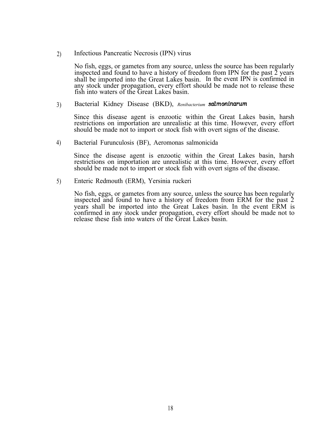2) Infectious Pancreatic Necrosis (IPN) virus

No fish, eggs, or gametes from any source, unless the source has been regularly inspected and found to have a history of freedom from IPN for the past  $\tilde{2}$  years shall be imported into the Great Lakes basin. In the event IPN is confirmed in any stock under propagation, every effort should be made not to release these fish into waters of the Great Lakes basin.

3) Bacterial Kidney Disease (BKD), *Renibacterium SdmOninarum*

Since this disease agent is enzootic within the Great Lakes basin, harsh restrictions on importation are unrealistic at this time. However, every effort should be made not to import or stock fish with overt signs of the disease.

4) Bacterial Furunculosis (BF), Aeromonas salmonicida

Since the disease agent is enzootic within the Great Lakes basin, harsh restrictions on importation are unrealistic at this time. However, every effort should be made not to import or stock fish with overt signs of the disease.

5) Enteric Redmouth (ERM), Yersinia ruckeri

No fish, eggs, or gametes from any source, unless the source has been regularly inspected and found to have a history of freedom from ERM for the past 2 years shall be imported into the Great Lakes basin. In the event ERM is confirmed in any stock under propagation, every effort should be made not to release these fish into waters of the Great Lakes basin.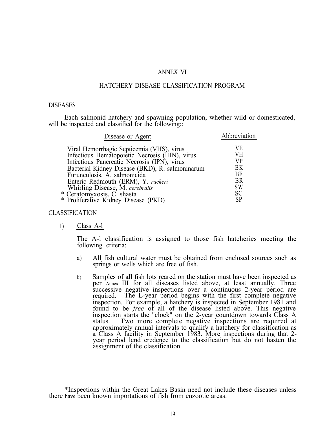#### ANNEX VI

#### HATCHERY DISEASE CLASSIFICATION PROGRAM

#### DISEASES

Each salmonid hatchery and spawning population, whether wild or domesticated, will be inspected and classified for the following:

| Disease or Agent                                                                                                                                                                                                                                                                                                                                                             | Abbreviation                                                                    |
|------------------------------------------------------------------------------------------------------------------------------------------------------------------------------------------------------------------------------------------------------------------------------------------------------------------------------------------------------------------------------|---------------------------------------------------------------------------------|
| Viral Hemorrhagic Septicemia (VHS), virus<br>Infectious Hematopoietic Necrosis (IHN), virus<br>Infectious Pancreatic Necrosis (IPN), virus<br>Bacterial Kidney Disease (BKD), R. salmoninarum<br>Furunculosis, A. salmonicida<br>Enteric Redmouth (ERM), Y. ruckeri<br>Whirling Disease, M. cerebralis<br>* Ceratomyxosis, C. shasta<br>* Proliferative Kidney Disease (PKD) | V E<br>VН<br>VP<br>BΚ<br>BF<br><b>BR</b><br><b>SW</b><br><b>SC</b><br><b>SP</b> |
|                                                                                                                                                                                                                                                                                                                                                                              |                                                                                 |

#### CLASSIFICATION

1) Class A-l

The A-l classification is assigned to those fish hatcheries meeting the following criteria:

- a) All fish cultural water must be obtained from enclosed sources such as springs or wells which are free of fish.
- b) Samples of all fish lots reared on the station must have been inspected as per Annex III for all diseases listed above, at least annually. Three successive negative inspections over a continuous 2-year period are required. The L-year period begins with the first complete negative inspection. For example, a hatchery is inspected in September 1981 and found to be *free* of all of the disease listed above. This negative inspection starts the "clock" on the 2-year countdown towards Class A status. Two more complete negative inspections are required at approximately annual intervals to qualify a hatchery for classification as a Class A facility in September 1983. More inspections during that 2 year period lend credence to the classification but do not hasten the assignment of the classification.

<sup>\*</sup>Inspections within the Great Lakes Basin need not include these diseases unless there have been known importations of fish from enzootic areas.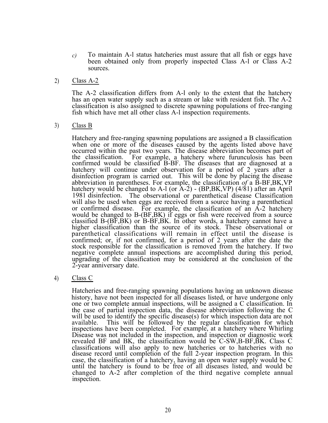- *c)* To maintain A-l status hatcheries must assure that all fish or eggs have been obtained only from properly inspected Class A-l or Class A-2 sources.
- 2) Class A-2

The A-2 classification differs from A-l only to the extent that the hatchery has an open water supply such as a stream or lake with resident fish. The A-2 classification is also assigned to discrete spawning populations of free-ranging fish which have met all other class A-l inspection requirements.

3) Class B

Hatchery and free-ranging spawning populations are assigned a B classification when one or more of the diseases caused by the agents listed above have occurred within the past two years. The disease abbreviation becomes part of the classification. For example, a hatchery where furunculosis has been confirmed would be classified B-BF. The diseases that are diagnosed at a hatchery will continue under observation for a period of 2 years after a disinfection program is carried out. This will be done by placing the disease abbreviation in parentheses. For example, the classification *of* a B-BF,BK,VP hatchery would be changed to A-l (or A-2) - (BP,BK,VP) (4/81) after an April 1981 disinfection. The observational or parenthetical disease Classification will also be used when eggs are received from a source having a parenthetical or confirmed disease. For example, the classification of an  $\overrightarrow{A}$ -2 hatchery would be changed to B-(BF,BK) if eggs or fish were received from a source classified B-(BF,BK) or B-BF,BK. In other words, a hatchery cannot have a higher classification than the source of its stock. These observational or parenthetical classifications will remain in effect until the disease is confirmed; or, if not confirmed, for a period of 2 years after the date the stock responsible for the classification is removed from the hatchery. If two negative complete annual inspections are accomplished during this period, upgrading of the classification may be considered at the conclusion of the 2-year anniversary date.

4) Class C

Hatcheries and free-ranging spawning populations having an unknown disease history, have not been inspected for all diseases listed, or have undergone only one or two complete annual inspections, will be assigned a C classification. In the case of partial inspection data, the disease abbreviation following the C will be used to identify the specific disease(s) for which inspection data are not available. This will be followed by the regular classification for which This will be followed by the regular classification for which inspections have been completed. For example, at a hatchery where Whirling Disease was not included in the inspection, and inspection or diagnostic work revealed BF and BK, the classification would be C-SW,B-BF,BK. Class C classifications will also apply to new hatcheries or to hatcheries with no disease record until completion of the full 2-year inspection program. In this case, the classification of a hatchery, having an open water supply would be C until the hatchery is found to be free of all diseases listed, and would be changed to A-2 after completion of the third negative complete annual inspection.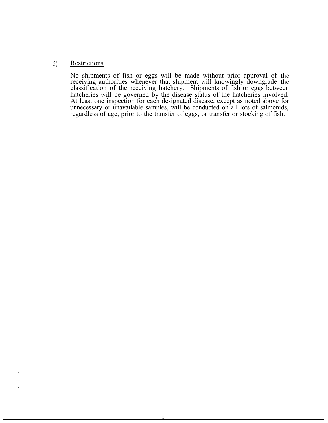## 5) Restrictions

No shipments of fish or eggs will be made without prior approval of receiving authorities whenever that shipment will knowingly downgrade the the classification of the receiving hatchery. Shipments of fish or eggs between hatcheries will be governed by the disease status of the hatcheries involved. At least one inspection for each designated disease, except as noted above for unnecessary or unavailable samples, will be conducted on all lots of salmonids, regardless of age, prior to the transfer of eggs, or transfer or stocking of fish.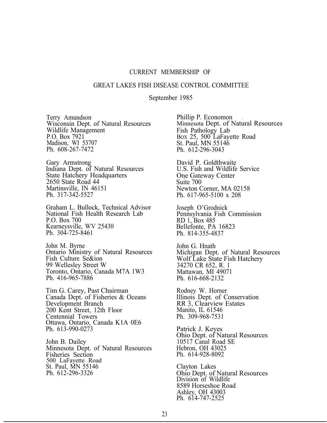#### CURRENT MEMBERSHIP OF

#### GREAT LAKES FISH DISEASE CONTROL COMMITTEE

September 1985

Terry Amundson Wisconsin Dept. of Natural Resources Wildlife Management P.O. Box 7921 Madison, WI 53707 Ph. 608-267-7472

Gary Armstrong Indiana Dept. of Natural Resources State Hatchery Headquarters 2650 State Road 44 Martinsville, IN 46151 Ph. 317-342-5527

Graham L. Bullock, Technical Advisor National Fish Health Research Lab P.O. Box 700 Kearneysville, WV 25430 Ph. 304-725-8461

John M. Byrne Ontario Ministry of Natural Resources Fish Culture Se&ion 99 Wellesley Street W Toronto, Ontario, Canada M7A 1W3 Ph. 416-965-7886

Tim G. Carey, Past Chairman Canada Dept. of Fisheries & Oceans Development Branch 200 Kent Street, 12th Floor Centennial Towers Ottawa, Ontario, Canada K1A 0E6 Ph. 613-990-0273

John B. Dailey Minnesota Dept. of Natural Resources Fisheries Section 500 LaFayette Road St. Paul, MN 55146 Ph. 612-296-3326

Phillip P. Economon<br>Minnesota Dept. of Natural Resources Fish Pathology Lab BOX 25, 500 LaFayette Road St. Paul, MN 55146 Ph. 612-296-3043

David P. Goldthwaite U.S. Fish and Wildlife Service One Gateway Center Suite 700 Newton Corner, MA 02158 Ph. 617-965-5100 x 208

Joseph O'Grodnick Pennsylvania Fish Commission RD 1, Box 485 Bellefonte, PA 16823 Ph. 814-355-4837

John G. Hnath Michigan Dept. of Natural Resources Wolf Lake State Fish Hatchery 34270 CR 652, R. 1 Mattawan, MI 49071 Ph. 616-668-2132

Rodney W. Horner Illinois Dept. of Conservation RR 3, Clearview Estates Manito, IL 61546 Ph. 309-968-7531

Patrick J. Keyes Ohio Dept. of Natural Resources 10517 Canal Road SE Hebron, OH 43025 Ph. 614-928-8092

Clayton Lakes Ohio Dept. of Natural Resources Division of Wildlife 8589 Horseshoe Road Ashley, OH 43003 Ph. 614-747-2525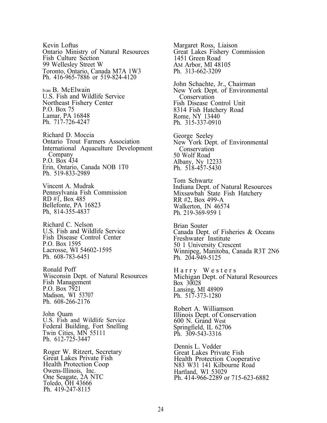Kevin Loftus Ontario Ministry of Natural Resources Fish Culture Section 99 Wellesley Street W Toronto, Ontario, Canada M7A 1W3 Ph. 416-965-7886 or 519-824-4120

Ivan B. McElwain U.S. Fish and Wildlife Service Northeast Fishery Center P.O. Box 75 Lamar, PA 16848 Ph. 717-726-4247

Richard D. Moccia Ontario Trout Farmers Association International Aquaculture Development Company P.O. Box 434 Erin, Ontario, Canada NOB 1T0 Ph. 519-833-2989

Vincent A. Mudrak Pennsylvania Fish Commission RD  $\#$ I, Box 485 Bellefonte, PA 16823 Ph, 814-355-4837

Richard C. Nelson U.S. Fish and Wildlife Service Fish Disease Control Center P.O. Box 1595 Lacrosse, WI 54602-1595 Ph. 608-783-6451

Ronald Poff Wisconsin Dept. of Natural Resources Fish Management P.O. Box 7921 Madison, WI 53707 Ph. 608-266-2176

John Quam U.S. Fish and Wildlife Service Federal Building, Fort Snelling Twin Cities, MN 55111 Ph. 612-725-3447

Roger W. Ritzert, Secretary Great Lakes Private Fish Health Protection Coop Owens-Illinois, Inc. One Seagate, 2A NTC Toledo, OH 43666 Ph. 419-247-8115

Margaret Ross, Liaison Great Lakes Fishery Commission 1451 Green Road AM Arbor, MI 48105 Ph. 313-662-3209 John Schachte, Jr., Chairman New York Dept. of Environmental **Conservation** Fish Disease Control Unit 8314 Fish Hatchery Road Rome, NY 13440 Ph. 315-337-0910 George Seeley New York Dept. of Environmental Conservation 50 Wolf Road Albany, Ny 12233 Ph. 518-457-5430 Tom Schwartz Indiana Dept. of Natural Resources Mixsawbah State Fish Hatchery RR #2, Box 499-A Walkerton, IN 46574 Ph. 219-369-959 1 Brian Souter Canada Dept. of Fisheries & Oceans Freshwater Institute 50 1 University Crescent Winnipeg, Manitoba, Canada R3T 2N6 Ph. 204-949-5125 Harry Westers Michigan Dept. of Natural Resources Box 30028 Lansing, MI 48909 Ph. 517-373-1280 Robert A. Williamson Illinois Dept. of Conservation 600 N. Grand West Springfield, IL 62706 Ph. 309-543-3316

Dennis L. Vedder Great Lakes Private Fish Health Protection Cooperative N83 W31 141 Kilbourne Road Hartland, WI 53029 Ph. 414-966-2289 or 715-623-6882